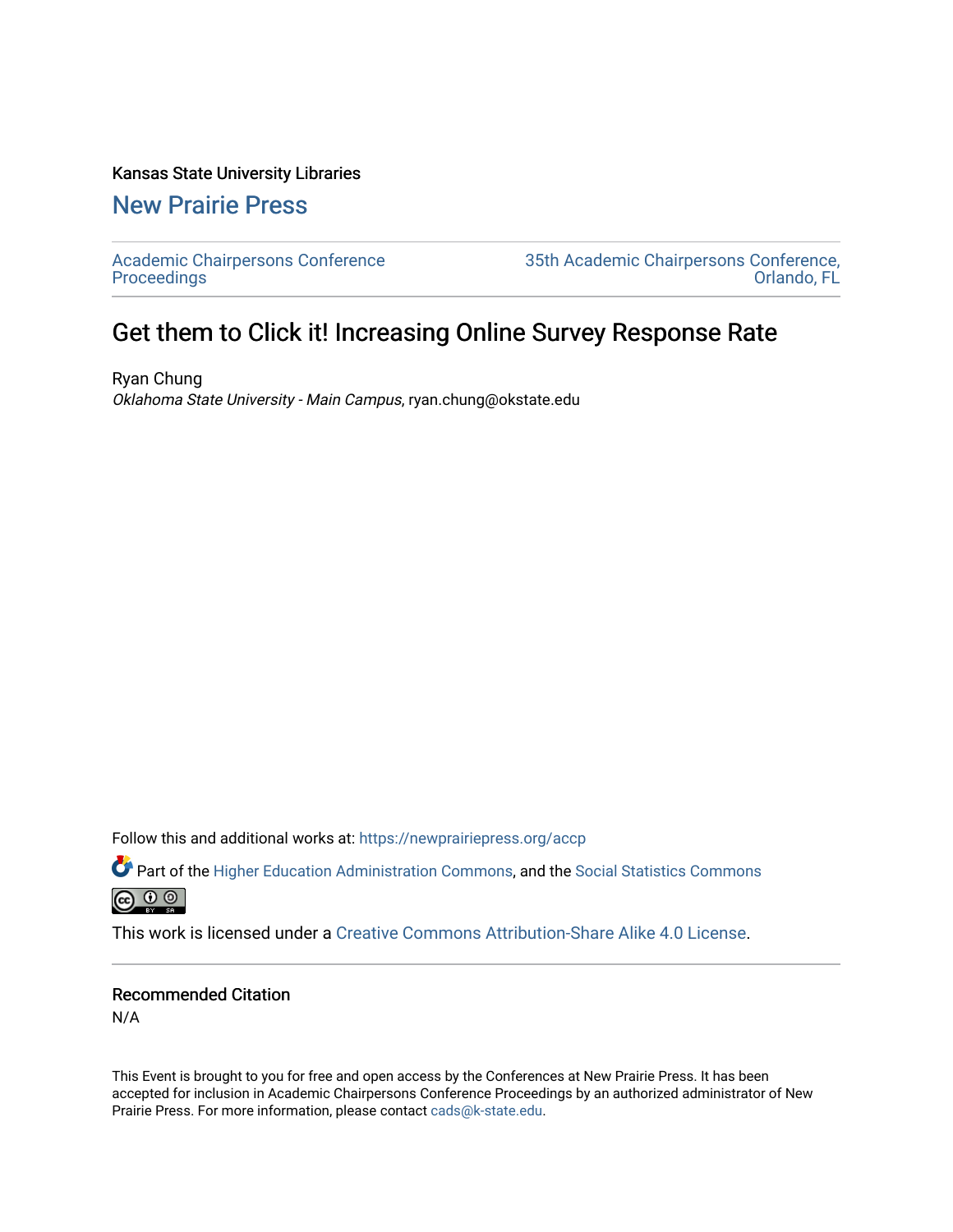## Kansas State University Libraries

[New Prairie Press](https://newprairiepress.org/) 

[Academic Chairpersons Conference](https://newprairiepress.org/accp)  **Proceedings** 

[35th Academic Chairpersons Conference,](https://newprairiepress.org/accp/2018)  [Orlando, FL](https://newprairiepress.org/accp/2018) 

## Get them to Click it! Increasing Online Survey Response Rate

Ryan Chung Oklahoma State University - Main Campus, ryan.chung@okstate.edu

Follow this and additional works at: [https://newprairiepress.org/accp](https://newprairiepress.org/accp?utm_source=newprairiepress.org%2Faccp%2F2018%2Fcolleagues%2F12&utm_medium=PDF&utm_campaign=PDFCoverPages) 

Part of the [Higher Education Administration Commons,](http://network.bepress.com/hgg/discipline/791?utm_source=newprairiepress.org%2Faccp%2F2018%2Fcolleagues%2F12&utm_medium=PDF&utm_campaign=PDFCoverPages) and the [Social Statistics Commons](http://network.bepress.com/hgg/discipline/1275?utm_source=newprairiepress.org%2Faccp%2F2018%2Fcolleagues%2F12&utm_medium=PDF&utm_campaign=PDFCoverPages) 



This work is licensed under a [Creative Commons Attribution-Share Alike 4.0 License.](https://creativecommons.org/licenses/by-sa/4.0/)

## Recommended Citation

N/A

This Event is brought to you for free and open access by the Conferences at New Prairie Press. It has been accepted for inclusion in Academic Chairpersons Conference Proceedings by an authorized administrator of New Prairie Press. For more information, please contact [cads@k-state.edu.](mailto:cads@k-state.edu)